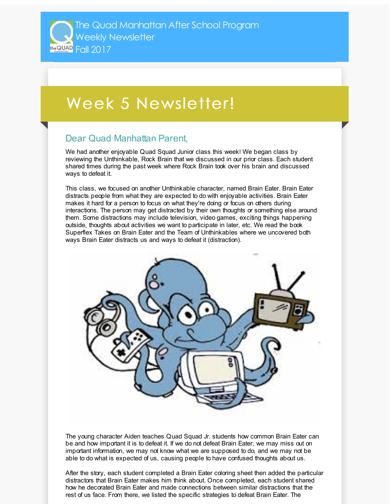## Week 5 Newsletter!

## Dear Quad Manhattan Parent,

We had another enjoyable Quad Squad Junior class this week! We began class by reviewing the Unthinkable, Rock Brain that we discussed in our prior class. Each student shared times during the past week where Rock Brain took over his brain and discussed ways to defeat it.

This class, we focused on another Unthinkable character, named Brain Eater. Brain Eater distracts people from what they are expected to do with enjoyable activities. Brain Eater makes it hard for a person to focus on what they're doing or focus on others during interactions. The person may get distracted by their own thoughts or something else around them. Some distractions may include television, video games, exciting things happening outside, thoughts about activities we want to participate in later, etc. We read the book Superflex Takes on Brain Eater and the Team of Unthinkables where we uncovered both ways Brain Eater distracts us and ways to defeat it (distraction).



The young character Aiden teaches Quad Squad Jr. students how common Brain Eater can be and how important it is to defeat it. If we do not defeat Brain Eater, we may miss out on important information, we may not know what we are supposed to do, and we may not be able to do what is expected of us, causing people to have confused thoughts about us.

After the story, each student completed a Brain Eater coloring sheet then added the particular distractors that Brain Eater makes him think about. Once completed, each student shared how he decorated Brain Eater and made connections between similar distractions that the rest of us face. From there, we listed the specific strategies to defeat Brain Eater. The